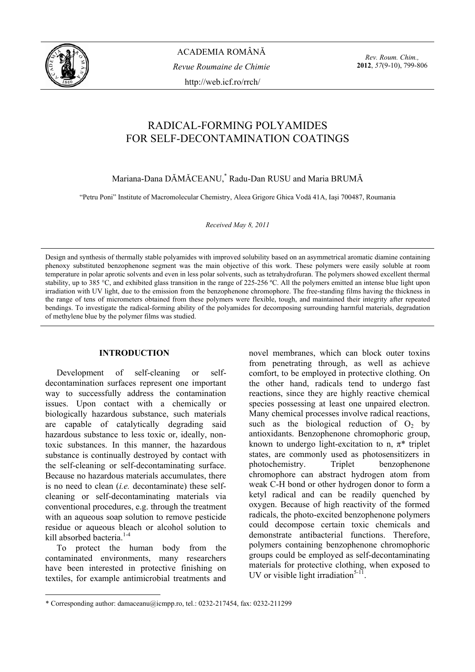

ACADEMIA ROMÂNĂ *Revue Roumaine de Chimie*  http://web.icf.ro/rrch/

*Rev. Roum. Chim.,*  **2012**, *57*(9-10), 799-806

# RADICAL-FORMING POLYAMIDES FOR SELF-DECONTAMINATION COATINGS

Mariana-Dana DĂMĂCEANU,\* Radu-Dan RUSU and Maria BRUMĂ

"Petru Poni" Institute of Macromolecular Chemistry, Aleea Grigore Ghica Vodă 41A, Iaşi 700487, Roumania

*Received May 8, 2011* 

Design and synthesis of thermally stable polyamides with improved solubility based on an asymmetrical aromatic diamine containing phenoxy substituted benzophenone segment was the main objective of this work. These polymers were easily soluble at room temperature in polar aprotic solvents and even in less polar solvents, such as tetrahydrofuran. The polymers showed excellent thermal stability, up to 385 °C, and exhibited glass transition in the range of 225-256 ºC. All the polymers emitted an intense blue light upon irradiation with UV light, due to the emission from the benzophenone chromophore. The free-standing films having the thickness in the range of tens of micrometers obtained from these polymers were flexible, tough, and maintained their integrity after repeated bendings. To investigate the radical-forming ability of the polyamides for decomposing surrounding harmful materials, degradation of methylene blue by the polymer films was studied.

# **INTRODUCTION<sup>1</sup>**

 Development of self-cleaning or selfdecontamination surfaces represent one important way to successfully address the contamination issues. Upon contact with a chemically or biologically hazardous substance, such materials are capable of catalytically degrading said hazardous substance to less toxic or, ideally, nontoxic substances. In this manner, the hazardous substance is continually destroyed by contact with the self-cleaning or self-decontaminating surface. Because no hazardous materials accumulates, there is no need to clean (*i.e.* decontaminate) these selfcleaning or self-decontaminating materials via conventional procedures, e.g. through the treatment with an aqueous soap solution to remove pesticide residue or aqueous bleach or alcohol solution to kill absorbed bacteria<sup>1-4</sup>

 To protect the human body from the contaminated environments, many researchers have been interested in protective finishing on textiles, for example antimicrobial treatments and

novel membranes, which can block outer toxins from penetrating through, as well as achieve comfort, to be employed in protective clothing. On the other hand, radicals tend to undergo fast reactions, since they are highly reactive chemical species possessing at least one unpaired electron. Many chemical processes involve radical reactions, such as the biological reduction of  $O<sub>2</sub>$  by antioxidants. Benzophenone chromophoric group, known to undergo light-excitation to n,  $\pi^*$  triplet states, are commonly used as photosensitizers in photochemistry. Triplet benzophenone chromophore can abstract hydrogen atom from weak C-H bond or other hydrogen donor to form a ketyl radical and can be readily quenched by oxygen. Because of high reactivity of the formed radicals, the photo-excited benzophenone polymers could decompose certain toxic chemicals and demonstrate antibacterial functions. Therefore, polymers containing benzophenone chromophoric groups could be employed as self-decontaminating materials for protective clothing, when exposed to UV or visible light irradiation<sup>5-11</sup>.

<sup>\*</sup> Corresponding author: damaceanu@icmpp.ro, tel.: 0232-217454, fax: 0232-211299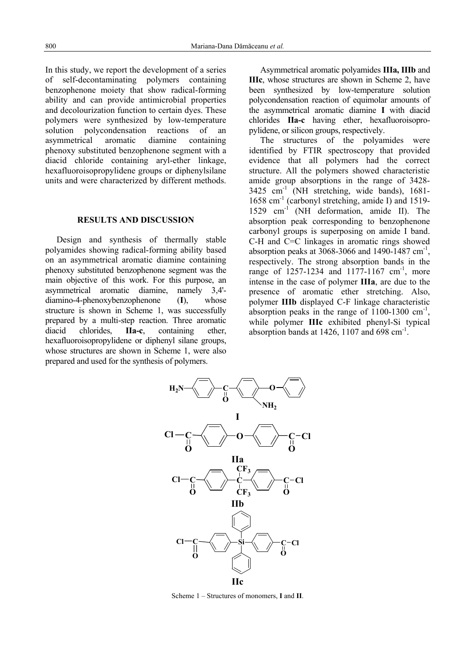In this study, we report the development of a series of self-decontaminating polymers containing benzophenone moiety that show radical-forming ability and can provide antimicrobial properties and decolourization function to certain dyes. These polymers were synthesized by low-temperature solution polycondensation reactions of an asymmetrical aromatic diamine containing phenoxy substituted benzophenone segment with a diacid chloride containing aryl-ether linkage, hexafluoroisopropylidene groups or diphenylsilane units and were characterized by different methods.

## **RESULTS AND DISCUSSION**

 Design and synthesis of thermally stable polyamides showing radical-forming ability based on an asymmetrical aromatic diamine containing phenoxy substituted benzophenone segment was the main objective of this work. For this purpose, an asymmetrical aromatic diamine, namely 3,4' diamino-4-phenoxybenzophenone (**I**), whose structure is shown in Scheme 1, was successfully prepared by a multi-step reaction. Three aromatic diacid chlorides, **IIa-c**, containing ether, hexafluoroisopropylidene or diphenyl silane groups, whose structures are shown in Scheme 1, were also prepared and used for the synthesis of polymers.

Asymmetrical aromatic polyamides **IIIa, IIIb** and **IIIc**, whose structures are shown in Scheme 2, have been synthesized by low-temperature solution polycondensation reaction of equimolar amounts of the asymmetrical aromatic diamine **I** with diacid chlorides **IIa-c** having ether, hexafluoroisopropylidene, or silicon groups, respectively.

The structures of the polyamides were identified by FTIR spectroscopy that provided evidence that all polymers had the correct structure. All the polymers showed characteristic amide group absorptions in the range of 3428- 3425 cm-1 (NH stretching, wide bands), 1681- 1658 cm-1 (carbonyl stretching, amide I) and 1519- 1529 cm<sup>-1</sup> (NH deformation, amide II). The absorption peak corresponding to benzophenone carbonyl groups is superposing on amide I band. C-H and C=C linkages in aromatic rings showed absorption peaks at 3068-3066 and 1490-1487 cm<sup>-1</sup>, respectively. The strong absorption bands in the range of  $1257 - 1234$  and  $1177 - 1167$  cm<sup>-1</sup>, more intense in the case of polymer **IIIa**, are due to the presence of aromatic ether stretching. Also, polymer **IIIb** displayed C-F linkage characteristic absorption peaks in the range of  $1100-1300$  cm<sup>-1</sup>, while polymer **IIIc** exhibited phenyl-Si typical absorption bands at 1426, 1107 and 698  $\text{cm}^{-1}$ .



Scheme 1 – Structures of monomers, **I** and **II**.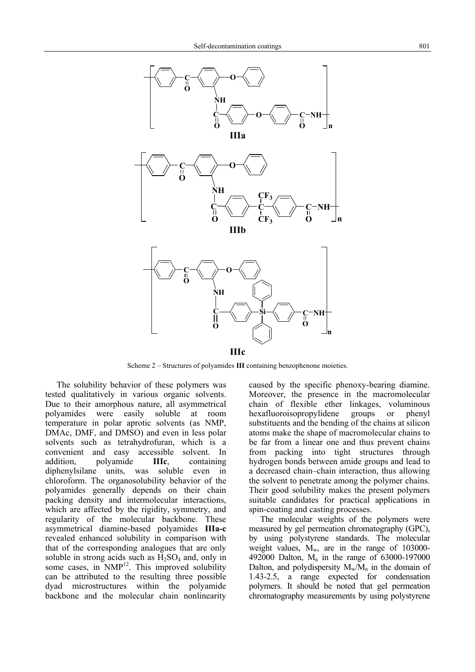

Scheme 2 – Structures of polyamides **III** containing benzophenone moieties.

The solubility behavior of these polymers was tested qualitatively in various organic solvents. Due to their amorphous nature, all asymmetrical polyamides were easily soluble at room temperature in polar aprotic solvents (as NMP, DMAc, DMF, and DMSO) and even in less polar solvents such as tetrahydrofuran, which is a convenient and easy accessible solvent. In addition, polyamide **IIIc**, containing diphenylsilane units, was soluble even in chloroform. The organosolubility behavior of the polyamides generally depends on their chain packing density and intermolecular interactions, which are affected by the rigidity, symmetry, and regularity of the molecular backbone. These asymmetrical diamine-based polyamides **IIIa-c**  revealed enhanced solubility in comparison with that of the corresponding analogues that are only soluble in strong acids such as  $H_2SO_4$  and, only in some cases, in  $NMP<sup>12</sup>$ . This improved solubility can be attributed to the resulting three possible dyad microstructures within the polyamide backbone and the molecular chain nonlinearity caused by the specific phenoxy-bearing diamine. Moreover, the presence in the macromolecular chain of flexible ether linkages, voluminous hexafluoroisopropylidene groups or phenyl substituents and the bending of the chains at silicon atoms make the shape of macromolecular chains to be far from a linear one and thus prevent chains from packing into tight structures through hydrogen bonds between amide groups and lead to a decreased chain–chain interaction, thus allowing the solvent to penetrate among the polymer chains. Their good solubility makes the present polymers suitable candidates for practical applications in spin-coating and casting processes.

The molecular weights of the polymers were measured by gel permeation chromatography (GPC), by using polystyrene standards. The molecular weight values,  $M_{\rm w}$ , are in the range of 103000-492000 Dalton,  $M_n$  in the range of 63000-197000 Dalton, and polydispersity  $M_w/M_n$  in the domain of 1.43-2.5, a range expected for condensation polymers. It should be noted that gel permeation chromatography measurements by using polystyrene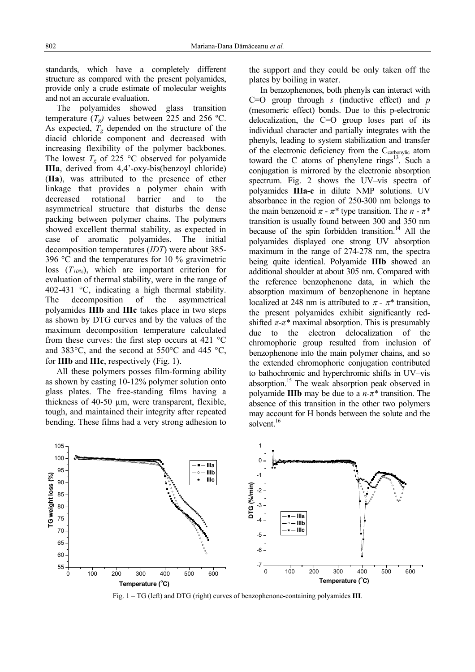standards, which have a completely different structure as compared with the present polyamides, provide only a crude estimate of molecular weights and not an accurate evaluation.

 The polyamides showed glass transition temperature  $(T_{\alpha})$  values between 225 and 256 °C. As expected,  $T_g$  depended on the structure of the diacid chloride component and decreased with increasing flexibility of the polymer backbones. The lowest  $T_g$  of 225 °C observed for polyamide **IIIa**, derived from 4,4'-oxy-bis(benzoyl chloride) (**IIa**), was attributed to the presence of ether linkage that provides a polymer chain with decreased rotational barrier and to the asymmetrical structure that disturbs the dense packing between polymer chains. The polymers showed excellent thermal stability, as expected in case of aromatic polyamides. The initial decomposition temperatures (*IDT*) were about 385- 396 °C and the temperatures for 10 % gravimetric loss (*T10%*), which are important criterion for evaluation of thermal stability, were in the range of 402-431 °C, indicating a high thermal stability. The decomposition of the asymmetrical polyamides **IIIb** and **IIIc** takes place in two steps as shown by DTG curves and by the values of the maximum decomposition temperature calculated from these curves: the first step occurs at 421 °C and 383°C, and the second at 550°C and 445 °C, for **IIIb** and **IIIc**, respectively (Fig. 1).

All these polymers posses film-forming ability as shown by casting 10-12% polymer solution onto glass plates. The free-standing films having a thickness of 40-50 µm, were transparent, flexible, tough, and maintained their integrity after repeated bending. These films had a very strong adhesion to the support and they could be only taken off the plates by boiling in water.

In benzophenones, both phenyls can interact with C=O group through *s* (inductive effect) and *p* (mesomeric effect) bonds. Due to this p-electronic delocalization, the C=O group loses part of its individual character and partially integrates with the phenyls, leading to system stabilization and transfer of the electronic deficiency from the Ccarbonylic atom toward the C atoms of phenylene rings $13$ . Such a conjugation is mirrored by the electronic absorption spectrum. Fig. 2 shows the UV–vis spectra of polyamides **IIIa-c** in dilute NMP solutions. UV absorbance in the region of 250-300 nm belongs to the main benzenoid  $\pi$  -  $\pi$ <sup>\*</sup> type transition. The  $n - \pi$ <sup>\*</sup> transition is usually found between 300 and 350 nm because of the spin forbidden transition.<sup>14</sup> All the polyamides displayed one strong UV absorption maximum in the range of 274-278 nm, the spectra being quite identical. Polyamide **IIIb** showed an additional shoulder at about 305 nm. Compared with the reference benzophenone data, in which the absorption maximum of benzophenone in heptane localized at 248 nm is attributed to  $\pi$  -  $\pi^*$  transition, the present polyamides exhibit significantly redshifted  $\pi$ - $\pi$ <sup>\*</sup> maximal absorption. This is presumably due to the electron delocalization of the chromophoric group resulted from inclusion of benzophenone into the main polymer chains, and so the extended chromophoric conjugation contributed to bathochromic and hyperchromic shifts in UV–vis absorption.15 The weak absorption peak observed in polyamide **IIIb** may be due to a *n-π\** transition. The absence of this transition in the other two polymers may account for H bonds between the solute and the solvent.<sup>16</sup>



Fig. 1 – TG (left) and DTG (right) curves of benzophenone-containing polyamides **III**.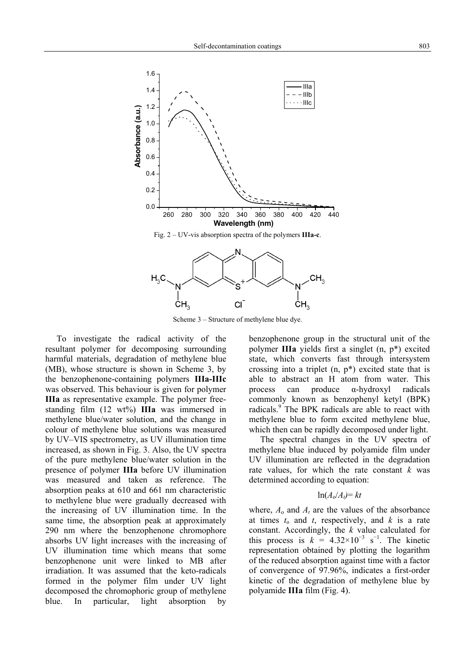

Scheme 3 – Structure of methylene blue dye.

To investigate the radical activity of the resultant polymer for decomposing surrounding harmful materials, degradation of methylene blue (MB), whose structure is shown in Scheme 3, by the benzophenone-containing polymers **IIIa-IIIc** was observed. This behaviour is given for polymer **IIIa** as representative example. The polymer freestanding film (12 wt%) **IIIa** was immersed in methylene blue/water solution, and the change in colour of methylene blue solutions was measured by UV–VIS spectrometry, as UV illumination time increased, as shown in Fig. 3. Also, the UV spectra of the pure methylene blue/water solution in the presence of polymer **IIIa** before UV illumination was measured and taken as reference. The absorption peaks at 610 and 661 nm characteristic to methylene blue were gradually decreased with the increasing of UV illumination time. In the same time, the absorption peak at approximately 290 nm where the benzophenone chromophore absorbs UV light increases with the increasing of UV illumination time which means that some benzophenone unit were linked to MB after irradiation. It was assumed that the keto-radicals formed in the polymer film under UV light decomposed the chromophoric group of methylene blue. In particular, light absorption by

benzophenone group in the structural unit of the polymer **IIIa** yields first a singlet (n, p\*) excited state, which converts fast through intersystem crossing into a triplet  $(n, p^*)$  excited state that is able to abstract an H atom from water. This process can produce α-hydroxyl radicals commonly known as benzophenyl ketyl (BPK) radicals.<sup>9</sup> The BPK radicals are able to react with methylene blue to form excited methylene blue, which then can be rapidly decomposed under light.

The spectral changes in the UV spectra of methylene blue induced by polyamide film under UV illumination are reflected in the degradation rate values, for which the rate constant *k* was determined according to equation:

## $\ln(A_0/A_t) = kt$

where,  $A_0$  and  $A_t$  are the values of the absorbance at times  $t_0$  and  $t$ , respectively, and  $k$  is a rate constant. Accordingly, the *k* value calculated for this process is  $k = 4.32 \times 10^{-3}$  s<sup>-1</sup>. The kinetic representation obtained by plotting the logarithm of the reduced absorption against time with a factor of convergence of 97.96%, indicates a first-order kinetic of the degradation of methylene blue by polyamide **IIIa** film (Fig. 4).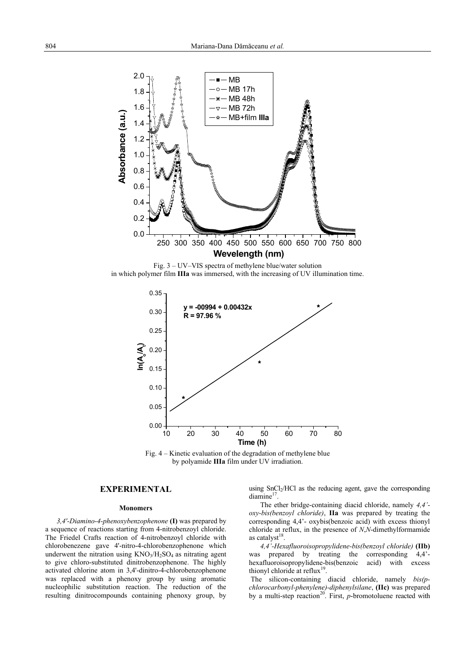

Fig. 3 – UV–VIS spectra of methylene blue/water solution in which polymer film **IIIa** was immersed, with the increasing of UV illumination time.



Fig. 4 – Kinetic evaluation of the degradation of methylene blue by polyamide **IIIa** film under UV irradiation.

## **EXPERIMENTAL**

#### **Monomers**

*3,4'-Diamino-4-phenoxybenzophenone* **(I)** was prepared by a sequence of reactions starting from 4-nitrobenzoyl chloride. The Friedel Crafts reaction of 4-nitrobenzoyl chloride with chlorobenezene gave 4'-nitro-4-chlorobenzophenone which underwent the nitration using  $KNO<sub>3</sub>/H<sub>2</sub>SO<sub>4</sub>$  as nitrating agent to give chloro-substituted dinitrobenzophenone. The highly activated chlorine atom in 3,4'-dinitro-4-chlorobenzophenone was replaced with a phenoxy group by using aromatic nucleophilic substitution reaction. The reduction of the resulting dinitrocompounds containing phenoxy group, by

using SnCl<sub>2</sub>/HCl as the reducing agent, gave the corresponding diamine<sup>17</sup>

The ether bridge-containing diacid chloride, namely *4,4' oxy-bis(benzoyl chloride)*, **IIa** was prepared by treating the corresponding 4,4'- oxybis(benzoic acid) with excess thionyl chloride at reflux, in the presence of *N*,*N*-dimethylformamide as catalyst $18$ .

*4,4'-Hexafluoroisopropylidene-bis(benzoyl chloride)* **(IIb)** was prepared by treating the corresponding  $4,4$ <sup>-</sup>hexafluoroisopropylidene-bis(benzoic acid) with excess thionyl chloride at reflux<sup>19</sup>.

 The silicon-containing diacid chloride, namely *bis(pchlorocarbonyl-phenylene)-diphenylsilane*, **(IIc)** was prepared by a multi-step reaction<sup>20</sup>. First, *p*-bromotoluene reacted with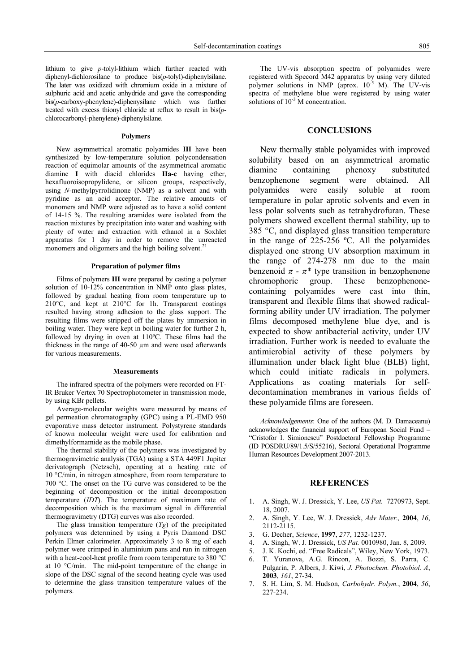lithium to give *p*-tolyl-lithium which further reacted with diphenyl-dichlorosilane to produce bis(*p*-tolyl)-diphenylsilane. The later was oxidized with chromium oxide in a mixture of sulphuric acid and acetic anhydride and gave the corresponding bis(*p*-carboxy-phenylene)-diphenysilane which was further treated with excess thionyl chloride at reflux to result in bis(*p*chlorocarbonyl-phenylene)-diphenylsilane.

#### **Polymers**

New asymmetrical aromatic polyamides **III** have been synthesized by low-temperature solution polycondensation reaction of equimolar amounts of the asymmetrical aromatic diamine **I** with diacid chlorides **IIa-c** having ether, hexafluoroisopropylidene, or silicon groups, respectively, using *N*-methylpyrrolidinone (NMP) as a solvent and with pyridine as an acid acceptor. The relative amounts of monomers and NMP were adjusted as to have a solid content of 14-15 %. The resulting aramides were isolated from the reaction mixtures by precipitation into water and washing with plenty of water and extraction with ethanol in a Soxhlet apparatus for 1 day in order to remove the unreacted monomers and oligomers and the high boiling solvent.<sup>21</sup>

### **Preparation of polymer films**

Films of polymers **III** were prepared by casting a polymer solution of 10-12% concentration in NMP onto glass plates, followed by gradual heating from room temperature up to 210°C, and kept at 210°C for 1h. Transparent coatings resulted having strong adhesion to the glass support. The resulting films were stripped off the plates by immersion in boiling water. They were kept in boiling water for further 2 h, followed by drying in oven at 110ºC. These films had the thickness in the range of 40-50 µm and were used afterwards for various measurements.

#### **Measurements**

The infrared spectra of the polymers were recorded on FT-IR Bruker Vertex 70 Spectrophotometer in transmission mode, by using KBr pellets.

Average-molecular weights were measured by means of gel permeation chromatography (GPC) using a PL-EMD 950 evaporative mass detector instrument. Polystyrene standards of known molecular weight were used for calibration and dimethylformamide as the mobile phase.

The thermal stability of the polymers was investigated by thermogravimetric analysis (TGA) using a STA 449F1 Jupiter derivatograph (Netzsch), operating at a heating rate of 10 °C/min, in nitrogen atmosphere, from room temperature to 700 °C. The onset on the TG curve was considered to be the beginning of decomposition or the initial decomposition temperature (*IDT*). The temperature of maximum rate of decomposition which is the maximum signal in differential thermogravimetry (DTG) curves was also recorded.

The glass transition temperature (*Tg*) of the precipitated polymers was determined by using a Pyris Diamond DSC Perkin Elmer calorimeter. Approximately 3 to 8 mg of each polymer were crimped in aluminium pans and run in nitrogen with a heat-cool-heat profile from room temperature to 380 °C at 10 °C/min. The mid-point temperature of the change in slope of the DSC signal of the second heating cycle was used to determine the glass transition temperature values of the polymers.

The UV-vis absorption spectra of polyamides were registered with Specord M42 apparatus by using very diluted polymer solutions in NMP (aprox.  $10^{-5}$  M). The UV-vis spectra of methylene blue were registered by using water solutions of  $10^{-3}$  M concentration.

## **CONCLUSIONS**

 New thermally stable polyamides with improved solubility based on an asymmetrical aromatic diamine containing phenoxy substituted benzophenone segment were obtained. All polyamides were easily soluble at room temperature in polar aprotic solvents and even in less polar solvents such as tetrahydrofuran. These polymers showed excellent thermal stability, up to 385 °C, and displayed glass transition temperature in the range of 225-256 ºC. All the polyamides displayed one strong UV absorption maximum in the range of 274-278 nm due to the main benzenoid  $\pi$  -  $\pi^*$  type transition in benzophenone chromophoric group. These benzophenonecontaining polyamides were cast into thin, transparent and flexible films that showed radicalforming ability under UV irradiation. The polymer films decomposed methylene blue dye, and is expected to show antibacterial activity, under UV irradiation. Further work is needed to evaluate the antimicrobial activity of these polymers by illumination under black light blue (BLB) light, which could initiate radicals in polymers. Applications as coating materials for selfdecontamination membranes in various fields of these polyamide films are foreseen.

*Acknowledgements*: One of the authors (M. D. Damaceanu) acknowledges the financial support of European Social Fund – "Cristofor I. Simionescu" Postdoctoral Fellowship Programme (ID POSDRU/89/1.5/S/55216), Sectoral Operational Programme Human Resources Development 2007-2013.

#### **REFERENCES**

- 1. A. Singh, W. J. Dressick, Y. Lee, *US Pat.* 7270973, Sept. 18, 2007.
- 2. A. Singh, Y. Lee, W. J. Dressick, *Adv Mater.,* **2004**, *16*, 2112-2115.
- 3. G. Decher, *Science*, **1997**, *277*, 1232-1237.
- 4. A. Singh, W. J. Dressick, *US Pat.* 0010980, Jan. 8, 2009.
- 5. J. K. Kochi, ed. "Free Radicals", Wiley, New York, 1973.
- 6. T. Yuranova, A.G. Rincon, A. Bozzi, S. Parra, C. Pulgarin, P. Albers, J. Kiwi, *J. Photochem. Photobiol. A*, **2003**, *161*, 27-34.
- 7. S. H. Lim, S. M. Hudson, *Carbohydr. Polym.*, **2004**, *56*, 227-234.